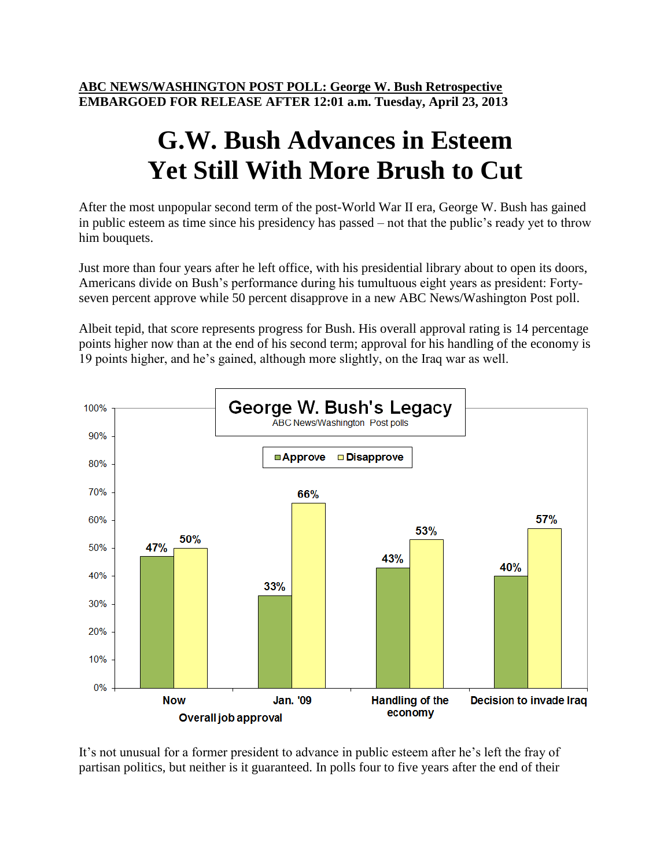**ABC NEWS/WASHINGTON POST POLL: George W. Bush Retrospective EMBARGOED FOR RELEASE AFTER 12:01 a.m. Tuesday, April 23, 2013**

## **G.W. Bush Advances in Esteem Yet Still With More Brush to Cut**

After the most unpopular second term of the post-World War II era, George W. Bush has gained in public esteem as time since his presidency has passed – not that the public's ready yet to throw him bouquets.

Just more than four years after he left office, with his presidential library about to open its doors, Americans divide on Bush's performance during his tumultuous eight years as president: Fortyseven percent approve while 50 percent disapprove in a new ABC News/Washington Post poll.

Albeit tepid, that score represents progress for Bush. His overall approval rating is 14 percentage points higher now than at the end of his second term; approval for his handling of the economy is 19 points higher, and he's gained, although more slightly, on the Iraq war as well.



It's not unusual for a former president to advance in public esteem after he's left the fray of partisan politics, but neither is it guaranteed. In polls four to five years after the end of their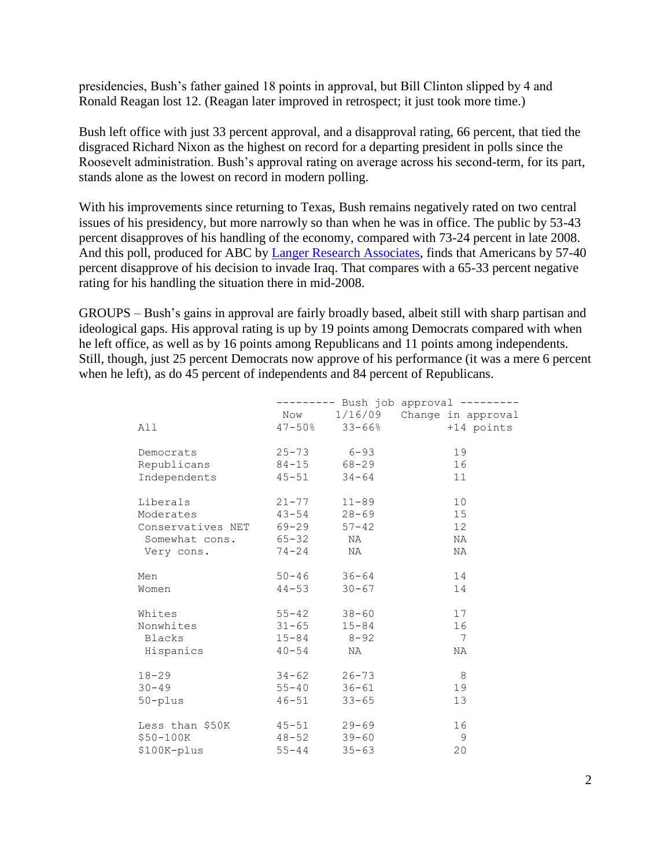presidencies, Bush's father gained 18 points in approval, but Bill Clinton slipped by 4 and Ronald Reagan lost 12. (Reagan later improved in retrospect; it just took more time.)

Bush left office with just 33 percent approval, and a disapproval rating, 66 percent, that tied the disgraced Richard Nixon as the highest on record for a departing president in polls since the Roosevelt administration. Bush's approval rating on average across his second-term, for its part, stands alone as the lowest on record in modern polling.

With his improvements since returning to Texas, Bush remains negatively rated on two central issues of his presidency, but more narrowly so than when he was in office. The public by 53-43 percent disapproves of his handling of the economy, compared with 73-24 percent in late 2008. And this poll, produced for ABC by [Langer Research Associates,](http://www.langerresearch.com/) finds that Americans by 57-40 percent disapprove of his decision to invade Iraq. That compares with a 65-33 percent negative rating for his handling the situation there in mid-2008.

GROUPS – Bush's gains in approval are fairly broadly based, albeit still with sharp partisan and ideological gaps. His approval rating is up by 19 points among Democrats compared with when he left office, as well as by 16 points among Republicans and 11 points among independents. Still, though, just 25 percent Democrats now approve of his performance (it was a mere 6 percent when he left), as do 45 percent of independents and 84 percent of Republicans.

|                         |                    |           | ------ Bush job approval --------- |
|-------------------------|--------------------|-----------|------------------------------------|
|                         |                    |           | Now 1/16/09 Change in approval     |
| All                     | $47 - 50\%$ 33-66% |           | +14 points                         |
| Democrats               | 25-73 6-93         |           | 19                                 |
| Republicans             | 84-15 68-29        |           | 16                                 |
| Independents            | $45 - 51$          | $34 - 64$ | 11                                 |
| Liberals                | $21 - 77$          | $11 - 89$ | 10                                 |
| Moderates               | $43 - 54$          | $28 - 69$ | 15                                 |
| Conservatives NET 69-29 |                    | $57 - 42$ | 12                                 |
| Somewhat cons. 65-32    |                    | NA        | NA                                 |
| Very cons.              | 74-24              | NA        | NA                                 |
| Men                     | $50 - 46$          | $36 - 64$ | 14                                 |
| Women                   | $44 - 53$          | $30 - 67$ | 14                                 |
| Whites                  | $55 - 42$          | $38 - 60$ | 17                                 |
| Nonwhites               | $31 - 65$          | $15 - 84$ | 16                                 |
| Blacks                  | $15 - 84$ $8 - 92$ |           | 7                                  |
| Hispanics               | $40 - 54$          | NA        | ΝA                                 |
| $18 - 29$               | $34 - 62$          | $26 - 73$ | 8                                  |
| $30 - 49$               | $55 - 40$          | $36 - 61$ | 19                                 |
| $50 - plus$             | $46 - 51$          | $33 - 65$ | 13                                 |
| Less than \$50K         | $45 - 51$          | $29 - 69$ | 16                                 |
| $$50-100K$              | $48 - 52$          | $39 - 60$ | 9                                  |
| \$100K-plus             | $55 - 44$          | $35 - 63$ | 20                                 |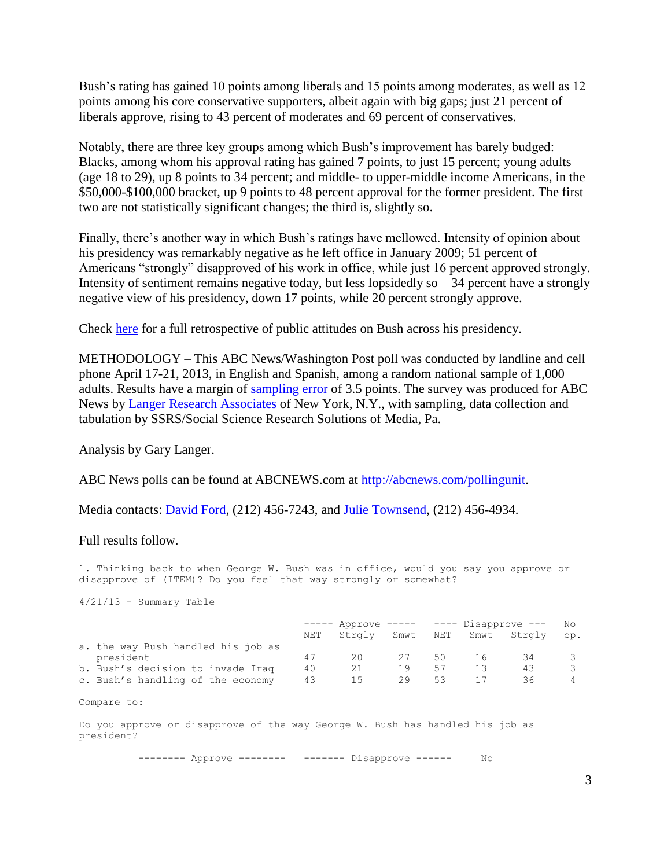Bush's rating has gained 10 points among liberals and 15 points among moderates, as well as 12 points among his core conservative supporters, albeit again with big gaps; just 21 percent of liberals approve, rising to 43 percent of moderates and 69 percent of conservatives.

Notably, there are three key groups among which Bush's improvement has barely budged: Blacks, among whom his approval rating has gained 7 points, to just 15 percent; young adults (age 18 to 29), up 8 points to 34 percent; and middle- to upper-middle income Americans, in the \$50,000-\$100,000 bracket, up 9 points to 48 percent approval for the former president. The first two are not statistically significant changes; the third is, slightly so.

Finally, there's another way in which Bush's ratings have mellowed. Intensity of opinion about his presidency was remarkably negative as he left office in January 2009; 51 percent of Americans "strongly" disapproved of his work in office, while just 16 percent approved strongly. Intensity of sentiment remains negative today, but less lopsidedly so  $-34$  percent have a strongly negative view of his presidency, down 17 points, while 20 percent strongly approve.

Check [here](http://abcnews.go.com/PollingUnit/BushLegacy/story?id=6567339) for a full retrospective of public attitudes on Bush across his presidency.

METHODOLOGY – This ABC News/Washington Post poll was conducted by landline and cell phone April 17-21, 2013, in English and Spanish, among a random national sample of 1,000 adults. Results have a margin of [sampling error](http://abcnews.go.com/PollingUnit/story?id=5984818&page=1) of 3.5 points. The survey was produced for ABC News by [Langer Research Associates](http://langerresearch.com/) of New York, N.Y., with sampling, data collection and tabulation by SSRS/Social Science Research Solutions of Media, Pa.

Analysis by Gary Langer.

ABC News polls can be found at ABCNEWS.com at [http://abcnews.com/pollingunit.](http://abcnews.com/pollingunit)

Media contacts: [David Ford,](mailto:david.ford@abc.com) (212) 456-7243, and [Julie Townsend,](mailto:julie.townsend@abc.com) (212) 456-4934.

Full results follow.

1. Thinking back to when George W. Bush was in office, would you say you approve or disapprove of (ITEM)? Do you feel that way strongly or somewhat?

4/21/13 – Summary Table

|                                    | $------$ |        |      | Approve ----- ---- Disapprove --- |      |        | No  |
|------------------------------------|----------|--------|------|-----------------------------------|------|--------|-----|
|                                    | NET      | Strgly | Smwt | NET                               | Smwt | Strqly | op. |
| a. the way Bush handled his job as |          |        |      |                                   |      |        |     |
| president                          | 47       | 20     | 27   | 50                                |      | 34     |     |
| b. Bush's decision to invade Iraq  | 40       |        | 19   | 57                                |      | 43     |     |
| c. Bush's handling of the economy  | 43       | 15     | 29   | 53                                |      | 36     |     |

Compare to:

Do you approve or disapprove of the way George W. Bush has handled his job as president?

-------- Approve -------- ------- Disapprove ------ No